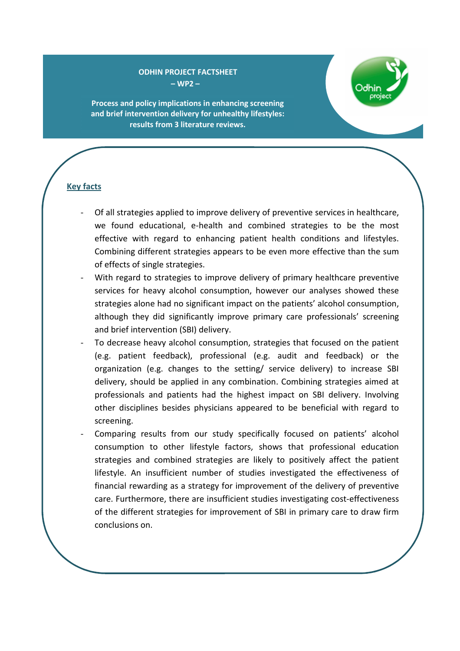### **ODHIN PROJECT FACTSHEET – WP2 –**



**Process and policy implications in enhancing screening and brief intervention delivery for unhealthy lifestyles: results from 3 literature reviews.**

## **Key facts**

- Of all strategies applied to improve delivery of preventive services in healthcare, we found educational, e-health and combined strategies to be the most effective with regard to enhancing patient health conditions and lifestyles. Combining different strategies appears to be even more effective than the sum of effects of single strategies.
- With regard to strategies to improve delivery of primary healthcare preventive services for heavy alcohol consumption, however our analyses showed these strategies alone had no significant impact on the patients' alcohol consumption, although they did significantly improve primary care professionals' screening and brief intervention (SBI) delivery.
- To decrease heavy alcohol consumption, strategies that focused on the patient (e.g. patient feedback), professional (e.g. audit and feedback) or the organization (e.g. changes to the setting/ service delivery) to increase SBI delivery, should be applied in any combination. Combining strategies aimed at professionals and patients had the highest impact on SBI delivery. Involving other disciplines besides physicians appeared to be beneficial with regard to screening.
- Comparing results from our study specifically focused on patients' alcohol consumption to other lifestyle factors, shows that professional education strategies and combined strategies are likely to positively affect the patient lifestyle. An insufficient number of studies investigated the effectiveness of financial rewarding as a strategy for improvement of the delivery of preventive care. Furthermore, there are insufficient studies investigating cost-effectiveness of the different strategies for improvement of SBI in primary care to draw firm conclusions on.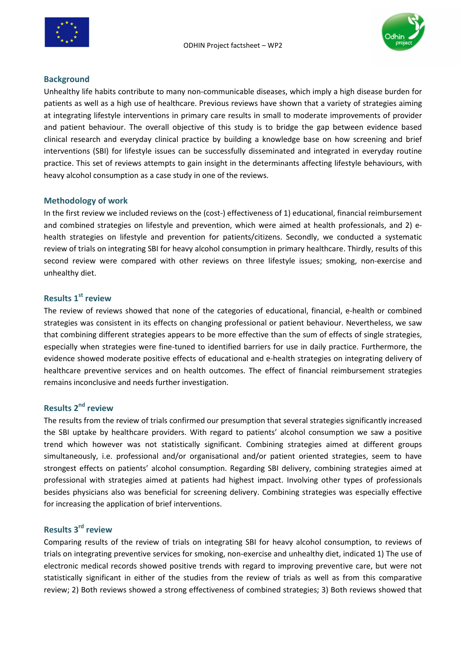



### **Background**

Unhealthy life habits contribute to many non-communicable diseases, which imply a high disease burden for patients as well as a high use of healthcare. Previous reviews have shown that a variety of strategies aiming at integrating lifestyle interventions in primary care results in small to moderate improvements of provider and patient behaviour. The overall objective of this study is to bridge the gap between evidence based clinical research and everyday clinical practice by building a knowledge base on how screening and brief interventions (SBI) for lifestyle issues can be successfully disseminated and integrated in everyday routine practice. This set of reviews attempts to gain insight in the determinants affecting lifestyle behaviours, with heavy alcohol consumption as a case study in one of the reviews.

### **Methodology of work**

In the first review we included reviews on the (cost-) effectiveness of 1) educational, financial reimbursement and combined strategies on lifestyle and prevention, which were aimed at health professionals, and 2) ehealth strategies on lifestyle and prevention for patients/citizens. Secondly, we conducted a systematic review of trials on integrating SBI for heavy alcohol consumption in primary healthcare. Thirdly, results of this second review were compared with other reviews on three lifestyle issues; smoking, non-exercise and unhealthy diet.

## **Results 1st review**

The review of reviews showed that none of the categories of educational, financial, e-health or combined strategies was consistent in its effects on changing professional or patient behaviour. Nevertheless, we saw that combining different strategies appears to be more effective than the sum of effects of single strategies, especially when strategies were fine-tuned to identified barriers for use in daily practice. Furthermore, the evidence showed moderate positive effects of educational and e-health strategies on integrating delivery of healthcare preventive services and on health outcomes. The effect of financial reimbursement strategies remains inconclusive and needs further investigation.

## **Results 2nd review**

The results from the review of trials confirmed our presumption that several strategies significantly increased the SBI uptake by healthcare providers. With regard to patients' alcohol consumption we saw a positive trend which however was not statistically significant. Combining strategies aimed at different groups simultaneously, i.e. professional and/or organisational and/or patient oriented strategies, seem to have strongest effects on patients' alcohol consumption. Regarding SBI delivery, combining strategies aimed at professional with strategies aimed at patients had highest impact. Involving other types of professionals besides physicians also was beneficial for screening delivery. Combining strategies was especially effective for increasing the application of brief interventions.

# **Results 3rd review**

Comparing results of the review of trials on integrating SBI for heavy alcohol consumption, to reviews of trials on integrating preventive services for smoking, non-exercise and unhealthy diet, indicated 1) The use of electronic medical records showed positive trends with regard to improving preventive care, but were not statistically significant in either of the studies from the review of trials as well as from this comparative review; 2) Both reviews showed a strong effectiveness of combined strategies; 3) Both reviews showed that